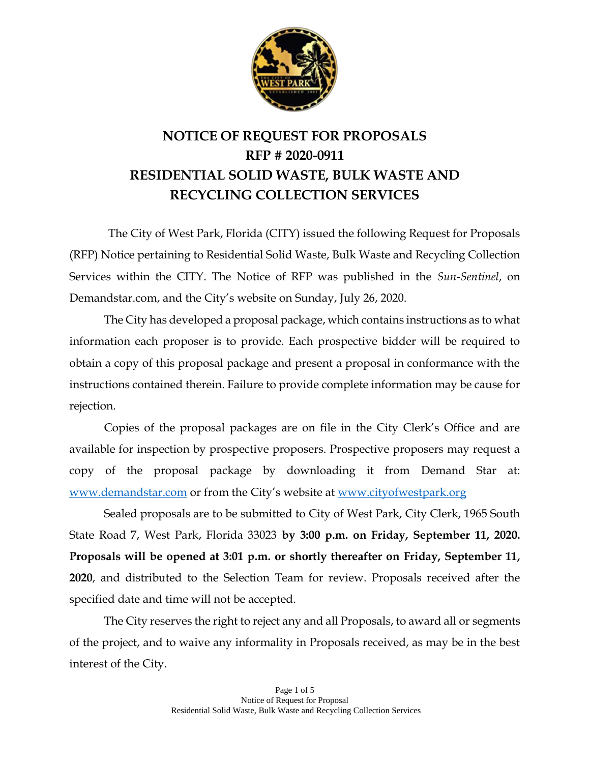

## **NOTICE OF REQUEST FOR PROPOSALS RFP # 2020-0911 RESIDENTIAL SOLID WASTE, BULK WASTE AND RECYCLING COLLECTION SERVICES**

The City of West Park, Florida (CITY) issued the following Request for Proposals (RFP) Notice pertaining to Residential Solid Waste, Bulk Waste and Recycling Collection Services within the CITY. The Notice of RFP was published in the *Sun-Sentinel*, on Demandstar.com, and the City's website on Sunday, July 26, 2020.

The City has developed a proposal package, which contains instructions as to what information each proposer is to provide. Each prospective bidder will be required to obtain a copy of this proposal package and present a proposal in conformance with the instructions contained therein. Failure to provide complete information may be cause for rejection.

Copies of the proposal packages are on file in the City Clerk's Office and are available for inspection by prospective proposers. Prospective proposers may request a copy of the proposal package by downloading it from Demand Star at: [www.demandstar.com](http://www.demandstar.com/) or from the City's website at [www.cityofwestpark.org](http://www.cityofwestpark.org/)

Sealed proposals are to be submitted to City of West Park, City Clerk, 1965 South State Road 7, West Park, Florida 33023 **by 3:00 p.m. on Friday, September 11, 2020. Proposals will be opened at 3:01 p.m. or shortly thereafter on Friday, September 11, 2020**, and distributed to the Selection Team for review. Proposals received after the specified date and time will not be accepted.

The City reserves the right to reject any and all Proposals, to award all or segments of the project, and to waive any informality in Proposals received, as may be in the best interest of the City.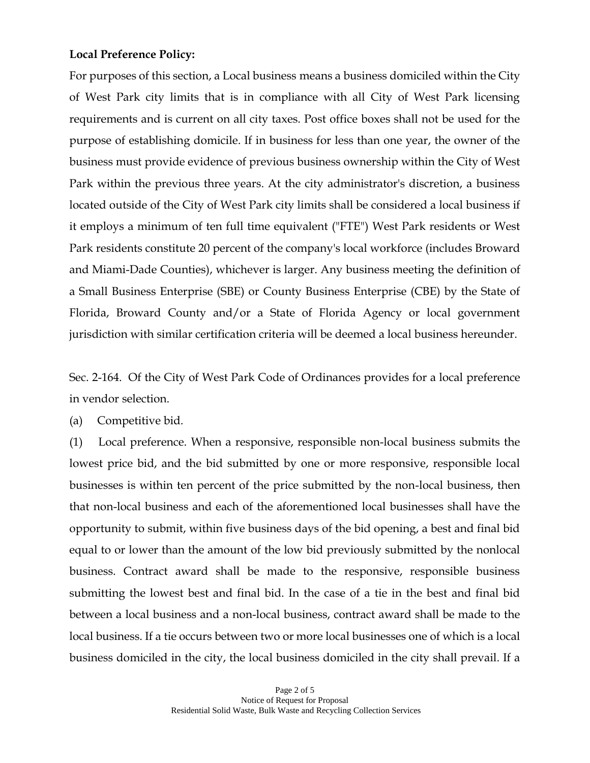## **Local Preference Policy:**

For purposes of this section, a Local business means a business domiciled within the City of West Park city limits that is in compliance with all City of West Park licensing requirements and is current on all city taxes. Post office boxes shall not be used for the purpose of establishing domicile. If in business for less than one year, the owner of the business must provide evidence of previous business ownership within the City of West Park within the previous three years. At the city administrator's discretion, a business located outside of the City of West Park city limits shall be considered a local business if it employs a minimum of ten full time equivalent ("FTE") West Park residents or West Park residents constitute 20 percent of the company's local workforce (includes Broward and Miami-Dade Counties), whichever is larger. Any business meeting the definition of a Small Business Enterprise (SBE) or County Business Enterprise (CBE) by the State of Florida, Broward County and/or a State of Florida Agency or local government jurisdiction with similar certification criteria will be deemed a local business hereunder.

Sec. 2-164. Of the City of West Park Code of Ordinances provides for a local preference in vendor selection.

(a) Competitive bid.

(1) Local preference. When a responsive, responsible non-local business submits the lowest price bid, and the bid submitted by one or more responsive, responsible local businesses is within ten percent of the price submitted by the non-local business, then that non-local business and each of the aforementioned local businesses shall have the opportunity to submit, within five business days of the bid opening, a best and final bid equal to or lower than the amount of the low bid previously submitted by the nonlocal business. Contract award shall be made to the responsive, responsible business submitting the lowest best and final bid. In the case of a tie in the best and final bid between a local business and a non-local business, contract award shall be made to the local business. If a tie occurs between two or more local businesses one of which is a local business domiciled in the city, the local business domiciled in the city shall prevail. If a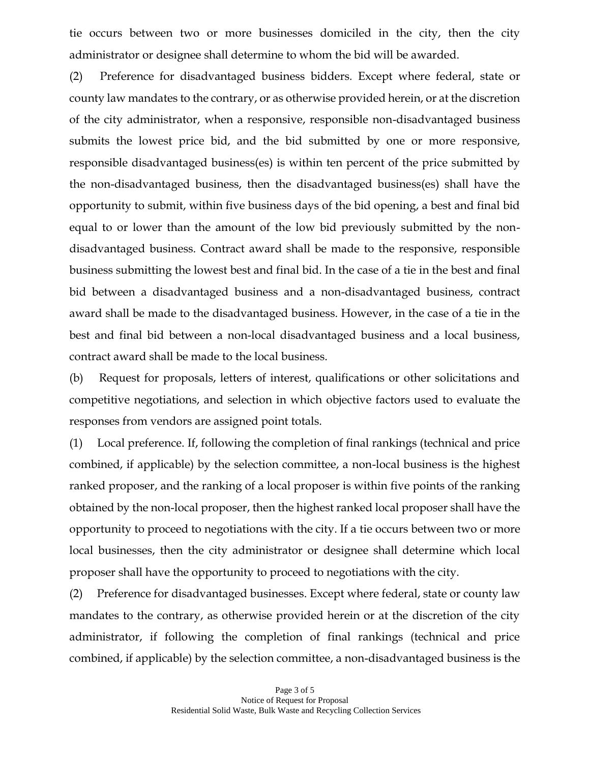tie occurs between two or more businesses domiciled in the city, then the city administrator or designee shall determine to whom the bid will be awarded.

(2) Preference for disadvantaged business bidders*.* Except where federal, state or county law mandates to the contrary, or as otherwise provided herein, or at the discretion of the city administrator, when a responsive, responsible non-disadvantaged business submits the lowest price bid, and the bid submitted by one or more responsive, responsible disadvantaged business(es) is within ten percent of the price submitted by the non-disadvantaged business, then the disadvantaged business(es) shall have the opportunity to submit, within five business days of the bid opening, a best and final bid equal to or lower than the amount of the low bid previously submitted by the nondisadvantaged business. Contract award shall be made to the responsive, responsible business submitting the lowest best and final bid. In the case of a tie in the best and final bid between a disadvantaged business and a non-disadvantaged business, contract award shall be made to the disadvantaged business. However, in the case of a tie in the best and final bid between a non-local disadvantaged business and a local business, contract award shall be made to the local business.

(b) Request for proposals, letters of interest, qualifications or other solicitations and competitive negotiations, and selection in which objective factors used to evaluate the responses from vendors are assigned point totals.

(1) Local preference. If, following the completion of final rankings (technical and price combined, if applicable) by the selection committee, a non-local business is the highest ranked proposer, and the ranking of a local proposer is within five points of the ranking obtained by the non-local proposer, then the highest ranked local proposer shall have the opportunity to proceed to negotiations with the city. If a tie occurs between two or more local businesses, then the city administrator or designee shall determine which local proposer shall have the opportunity to proceed to negotiations with the city.

(2) Preference for disadvantaged businesses. Except where federal, state or county law mandates to the contrary, as otherwise provided herein or at the discretion of the city administrator, if following the completion of final rankings (technical and price combined, if applicable) by the selection committee, a non-disadvantaged business is the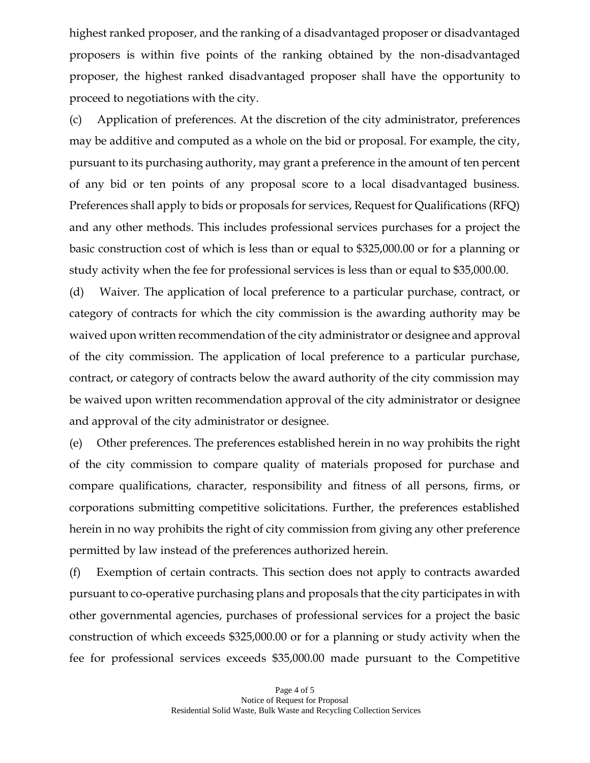highest ranked proposer, and the ranking of a disadvantaged proposer or disadvantaged proposers is within five points of the ranking obtained by the non-disadvantaged proposer, the highest ranked disadvantaged proposer shall have the opportunity to proceed to negotiations with the city.

(c) Application of preferences. At the discretion of the city administrator, preferences may be additive and computed as a whole on the bid or proposal. For example, the city, pursuant to its purchasing authority, may grant a preference in the amount of ten percent of any bid or ten points of any proposal score to a local disadvantaged business. Preferences shall apply to bids or proposals for services, Request for Qualifications (RFQ) and any other methods. This includes professional services purchases for a project the basic construction cost of which is less than or equal to \$325,000.00 or for a planning or study activity when the fee for professional services is less than or equal to \$35,000.00.

(d) Waiver*.* The application of local preference to a particular purchase, contract, or category of contracts for which the city commission is the awarding authority may be waived upon written recommendation of the city administrator or designee and approval of the city commission. The application of local preference to a particular purchase, contract, or category of contracts below the award authority of the city commission may be waived upon written recommendation approval of the city administrator or designee and approval of the city administrator or designee.

(e) Other preferences. The preferences established herein in no way prohibits the right of the city commission to compare quality of materials proposed for purchase and compare qualifications, character, responsibility and fitness of all persons, firms, or corporations submitting competitive solicitations. Further, the preferences established herein in no way prohibits the right of city commission from giving any other preference permitted by law instead of the preferences authorized herein.

(f) Exemption of certain contracts. This section does not apply to contracts awarded pursuant to co-operative purchasing plans and proposals that the city participates in with other governmental agencies, purchases of professional services for a project the basic construction of which exceeds \$325,000.00 or for a planning or study activity when the fee for professional services exceeds \$35,000.00 made pursuant to the Competitive